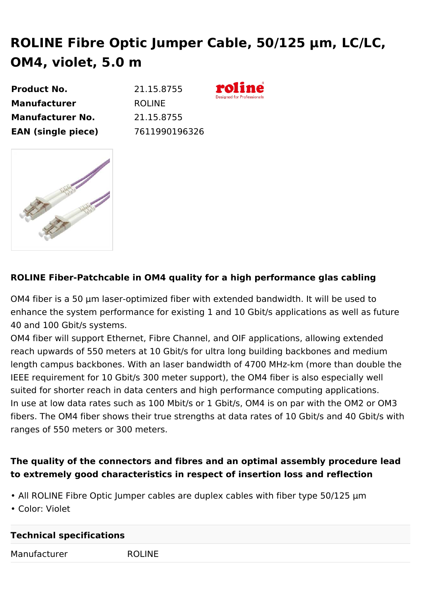## **ROLINE Fibre Optic Jumper Cable, 50/125 µm, LC/LC, OM4, violet, 5.0 m**

| 21.15.8755    |
|---------------|
| <b>ROLINE</b> |
| 21.15.8755    |
| 7611990196326 |
|               |



## **ROLINE Fiber-Patchcable in OM4 quality for a high performance glas cabling**

OM4 fiber is a 50 µm laser-optimized fiber with extended bandwidth. It will be used to enhance the system performance for existing 1 and 10 Gbit/s applications as well as future 40 and 100 Gbit/s systems.

OM4 fiber will support Ethernet, Fibre Channel, and OIF applications, allowing extended reach upwards of 550 meters at 10 Gbit/s for ultra long building backbones and medium length campus backbones. With an laser bandwidth of 4700 MHz-km (more than double the IEEE requirement for 10 Gbit/s 300 meter support), the OM4 fiber is also especially well suited for shorter reach in data centers and high performance computing applications. In use at low data rates such as 100 Mbit/s or 1 Gbit/s, OM4 is on par with the OM2 or OM3 fibers. The OM4 fiber shows their true strengths at data rates of 10 Gbit/s and 40 Gbit/s with ranges of 550 meters or 300 meters.

## **The quality of the connectors and fibres and an optimal assembly procedure lead to extremely good characteristics in respect of insertion loss and reflection**

- All ROLINE Fibre Optic Jumper cables are duplex cables with fiber type 50/125 µm
- Color: Violet

## **Technical specifications** Manufacturer ROLINE